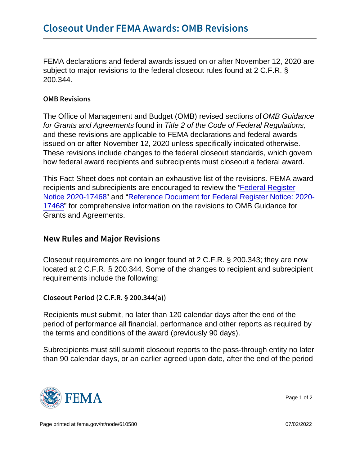FEMA declarations and federal awards issued on or after November 12, 2020 are subject to major revisions to the federal closeout rules found at 2 C.F.R. § 200.344.

## OMB Revisions

The Office of Management and Budget (OMB) revised sections of OMB Guidance for Grants and Agreements found in Title 2 of the Code of Federal Regulations, and these revisions are applicable to FEMA declarations and federal awards issued on or after November 12, 2020 unless specifically indicated otherwise. These revisions include changes to the federal closeout standards, which govern how federal award recipients and subrecipients must closeout a federal award.

This Fact Sheet does not contain an exhaustive list of the revisions. FEMA award recipients and subrecipients are encouraged to review the ["Federal Register](https://www.govinfo.gov/content/pkg/FR-2020-08-13/pdf/2020-17468.pdf) [Notice 2020-17468](https://www.govinfo.gov/content/pkg/FR-2020-08-13/pdf/2020-17468.pdf)" and ["Reference Document for Federal Register Notice: 2020-](https://trumpadministration.archives.performance.gov/CAP/20200812-2-CFR-Revision-Redline_Final.pdf) [17468"](https://trumpadministration.archives.performance.gov/CAP/20200812-2-CFR-Revision-Redline_Final.pdf) for comprehensive information on the revisions to OMB Guidance for Grants and Agreements.

## New Rules and Major Revisions

Closeout requirements are no longer found at 2 C.F.R. § 200.343; they are now located at 2 C.F.R. § 200.344. Some of the changes to recipient and subrecipient requirements include the following:

Closeout Period (2 C.F.R. § 200.344(a))

Recipients must submit, no later than 120 calendar days after the end of the period of performance all financial, performance and other reports as required by the terms and conditions of the award (previously 90 days).

Subrecipients must still submit closeout reports to the pass-through entity no later than 90 calendar days, or an earlier agreed upon date, after the end of the period



Page 1 of 2